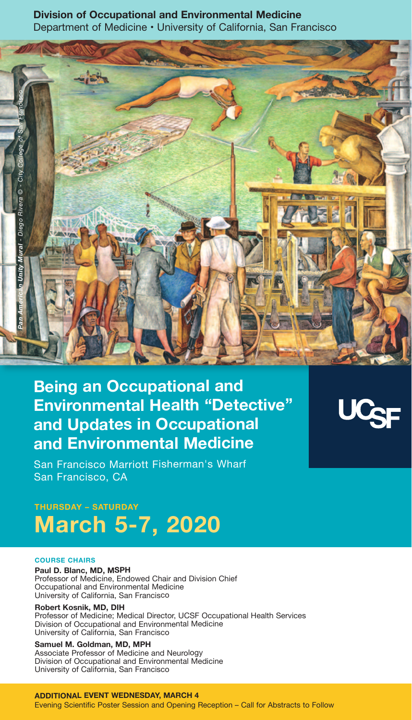# **Division of Occupational and Environmental Medicine** Department of Medicine • University of California, San Francisco



# **Being an Occupational and Environmental Health "Detective" and Updates in Occupational and Environmental Medicine**

San Francisco Marriott Fisherman's Wharf San Francisco, CA

# **tHUrSDAY – SAtUrDAY March 5-7, 2020**

#### **cOUrSE cHAirS**

**Paul D. Blanc, MD, MSPH**

Professor of Medicine, Endowed Chair and Division Chief Occupational and Environmental Medicine University of California, San Francisco

**robert Kosnik, MD, DiH** Professor of Medicine; Medical Director, UCSF Occupational Health Services Division of Occupational and Environmental Medicine University of California, San Francisco

# **Samuel M. Goldman, MD, MPH**

Associate Professor of Medicine and Neurology Division of Occupational and Environmental Medicine University of California, San Francisco

**ADDitiOnAL EVEnt WEDnESDAY, MArcH 4** Evening Scientific Poster Session and Opening Reception – Call for Abstracts to Follow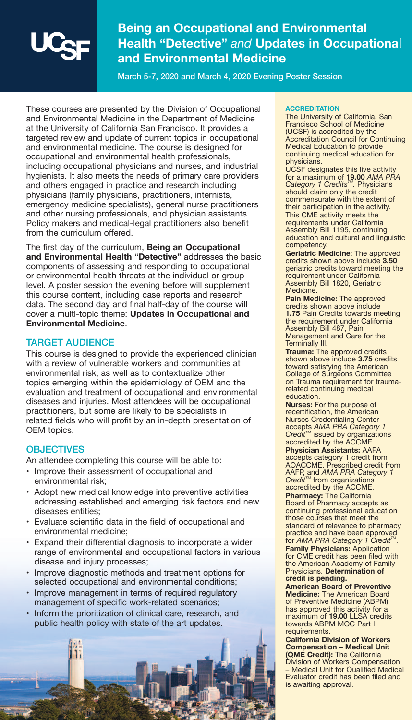

# **Being an Occupational and Environmental Health "Detective"** *and* **Updates in Occupationa**l **and Environmental Medicine**

**March 5-7, 2020 and March 4, 2020 Evening Poster Session** 

These courses are presented by the Division of Occupational and Environmental Medicine in the Department of Medicine at the University of California San Francisco. It provides a targeted review and update of current topics in occupational and environmental medicine. The course is designed for occupational and environmental health professionals, including occupational physicians and nurses, and industrial hygienists. It also meets the needs of primary care providers and others engaged in practice and research including physicians (family physicians, practitioners, internists, emergency medicine specialists), general nurse practitioners and other nursing professionals, and physician assistants. Policy makers and medical-legal practitioners also benefit from the curriculum offered.

The first day of the curriculum, **Being an Occupational and Environmental Health "Detective"** addresses the basic components of assessing and responding to occupational or environmental health threats at the individual or group level. A poster session the evening before will supplement this course content, including case reports and research data. The second day and final half-day of the course will cover a multi-topic theme: **Updates in Occupational and Environmental Medicine**.

## **TARGET AUDIENCE**

This course is designed to provide the experienced clinician with a review of vulnerable workers and communities at environmental risk, as well as to contextualize other topics emerging within the epidemiology of OEM and the evaluation and treatment of occupational and environmental diseases and injuries. Most attendees will be occupational practitioners, but some are likely to be specialists in related fields who will profit by an in-depth presentation of OEM topics.

## **OBJECTIVES**

証 Ħ

An attendee completing this course will be able to:

- Improve their assessment of occupational and environmental risk;
- Adopt new medical knowledge into preventive activities addressing established and emerging risk factors and new diseases entities;
- Evaluate scientific data in the field of occupational and environmental medicine;
- Expand their differential diagnosis to incorporate a wider range of environmental and occupational factors in various disease and injury processes;
- Improve diagnostic methods and treatment options for selected occupational and environmental conditions;
- Improve management in terms of required regulatory management of specific work-related scenarios;
- Inform the prioritization of clinical care, research, and public health policy with state of the art updates.

#### **AccrEDitAtiOn**

The University of California, San Francisco School of Medicine (UCSF) is accredited by the Accreditation Council for Continuing Medical Education to provide continuing medical education for physicians.

UCSF designates this live activity for a maximum of **19.00** *AMA PRA Category 1 Credits<sup>™</sup>. Physicians* should claim only the credit commensurate with the extent of their participation in the activity. This CME activity meets the requirements under California Assembly Bill 1195, continuing education and cultural and linguistic competency.

**Geriatric Medicine**: The approved credits shown above include **3.50** geriatric credits toward meeting the requirement under California Assembly Bill 1820, Geriatric Medicine.

**Pain Medicine:** The approved credits shown above include **1.75** Pain Credits towards meeting the requirement under California Assembly Bill 487, Pain Management and Care for the Terminally Ill.

**trauma:** The approved credits shown above include **3.75** credits toward satisfying the American College of Surgeons Committee on Trauma requirement for traumarelated continuing medical education.

**nurses:** For the purpose of recertification, the American Nurses Credentialing Center<br>accepts *AMA PRA Category 1<br><i>Credit™* issued by organizations<br>accredited by the ACCME.

**Physician Assistants:** AAPA accepts category 1 credit from AOACCME, Prescribed credit from AAFP, and *AMA PRA Category 1*<br>*Credit™* from organizations accredited by the ACCME.

**Pharmacy:** The California Board of Pharmacy accepts as continuing professional education those courses that meet the standard of relevance to pharmacy practice and have been approved<br>for AMA PRA Category 1 Credit™.

**Family Physicians:** Application for CME credit has been filed with the American Academy of Family Physicians. **Determination of credit is pending.**

**American Board of Preventive Medicine:** The American Board of Preventive Medicine (ABPM) has approved this activity for a maximum of **19.00** LLSA credits towards ABPM MOC Part II requirements.

**california Division of Workers compensation – Medical Unit (QME credit):** The California Division of Workers Compensation – Medical Unit for Qualified Medical Evaluator credit has been filed and is awaiting approval.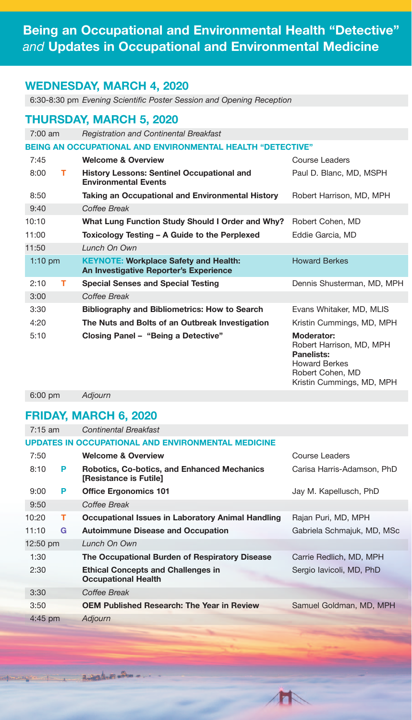# **Being an Occupational and Environmental Health "Detective"** *and* **Updates in Occupational and Environmental Medicine**

# **WEDnESDAY, MArcH 4, 2020**

6:30-8:30 pm *Evening Scientific Poster Session and Opening Reception*

# **tHUrSDAY, MArcH 5, 2020**

| $7:00$ am |   | <b>Registration and Continental Breakfast</b>                                          |                                                             |  |  |
|-----------|---|----------------------------------------------------------------------------------------|-------------------------------------------------------------|--|--|
|           |   | <b>BEING AN OCCUPATIONAL AND ENVIRONMENTAL HEALTH "DETECTIVE"</b>                      |                                                             |  |  |
| 7:45      |   | <b>Welcome &amp; Overview</b>                                                          | Course Leaders                                              |  |  |
| 8:00      | т | <b>History Lessons: Sentinel Occupational and</b><br><b>Environmental Events</b>       | Paul D. Blanc, MD, MSPH                                     |  |  |
| 8:50      |   | Taking an Occupational and Environmental History                                       | Robert Harrison, MD, MPH                                    |  |  |
| 9:40      |   | Coffee Break                                                                           |                                                             |  |  |
| 10:10     |   | What Lung Function Study Should I Order and Why?                                       | Robert Cohen, MD                                            |  |  |
| 11:00     |   | Toxicology Testing – A Guide to the Perplexed                                          | Eddie Garcia, MD                                            |  |  |
| 11:50     |   | Lunch On Own                                                                           |                                                             |  |  |
| $1:10$ pm |   | <b>KEYNOTE: Workplace Safety and Health:</b><br>An Investigative Reporter's Experience | <b>Howard Berkes</b>                                        |  |  |
| 2:10      | т | <b>Special Senses and Special Testing</b>                                              | Dennis Shusterman, MD, MPH                                  |  |  |
| 3:00      |   | Coffee Break                                                                           |                                                             |  |  |
| 3:30      |   | <b>Bibliography and Bibliometrics: How to Search</b>                                   | Evans Whitaker, MD, MLIS                                    |  |  |
| 4:20      |   | The Nuts and Bolts of an Outbreak Investigation                                        | Kristin Cummings, MD, MPH                                   |  |  |
| 5:10      |   | Closing Panel - "Being a Detective"                                                    | Moderator:<br>Robert Harrison, MD, MPH<br><b>Panelists:</b> |  |  |

Howard Berkes Robert Cohen, MD

Kristin Cummings, MD, MPH

6:00 pm *Adjourn*

# **FriDAY, MArcH 6, 2020**

الله وهمياري

| $7:15 \text{ am}$                                         |   | Continental Breakfast                                                        |                            |  |  |
|-----------------------------------------------------------|---|------------------------------------------------------------------------------|----------------------------|--|--|
| <b>UPDATES IN OCCUPATIONAL AND ENVIRONMENTAL MEDICINE</b> |   |                                                                              |                            |  |  |
| 7:50                                                      |   | <b>Welcome &amp; Overview</b>                                                | Course Leaders             |  |  |
| 8:10                                                      | P | <b>Robotics, Co-botics, and Enhanced Mechanics</b><br>[Resistance is Futile] | Carisa Harris-Adamson, PhD |  |  |
| 9:00                                                      | P | <b>Office Ergonomics 101</b>                                                 | Jay M. Kapellusch, PhD     |  |  |
| 9:50                                                      |   | Coffee Break                                                                 |                            |  |  |
| 10:20                                                     | т | Occupational Issues in Laboratory Animal Handling                            | Rajan Puri, MD, MPH        |  |  |
| 11:10                                                     | G | <b>Autoimmune Disease and Occupation</b>                                     | Gabriela Schmajuk, MD, MSc |  |  |
| 12:50 pm                                                  |   | Lunch On Own                                                                 |                            |  |  |
| 1:30                                                      |   | The Occupational Burden of Respiratory Disease                               | Carrie Redlich, MD, MPH    |  |  |
| 2:30                                                      |   | <b>Ethical Concepts and Challenges in</b><br><b>Occupational Health</b>      | Sergio Iavicoli, MD, PhD   |  |  |
| 3:30                                                      |   | Coffee Break                                                                 |                            |  |  |
| 3:50                                                      |   | <b>OEM Published Research: The Year in Review</b>                            | Samuel Goldman, MD, MPH    |  |  |
| $4:45$ pm                                                 |   | Adjourn                                                                      |                            |  |  |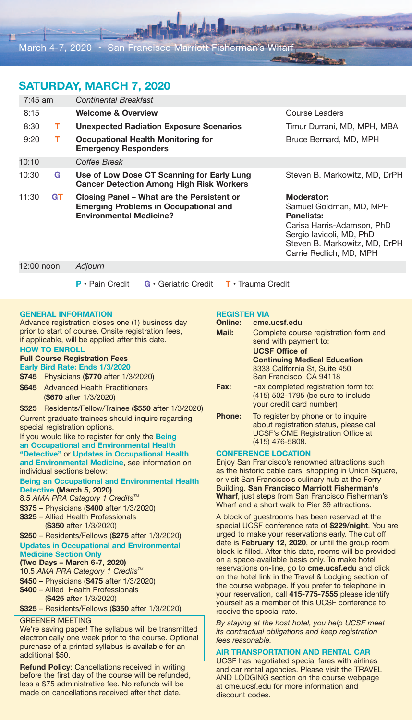# **SAtUrDAY, MArcH 7, 2020**

| $7:45$ am |           | Continental Breakfast                                                                                                        |                                                                                                                                                                                         |  |
|-----------|-----------|------------------------------------------------------------------------------------------------------------------------------|-----------------------------------------------------------------------------------------------------------------------------------------------------------------------------------------|--|
| 8:15      |           | <b>Welcome &amp; Overview</b>                                                                                                | Course Leaders                                                                                                                                                                          |  |
| 8:30      | т.        | <b>Unexpected Radiation Exposure Scenarios</b>                                                                               | Timur Durrani, MD, MPH, MBA                                                                                                                                                             |  |
| 9:20      | т         | Occupational Health Monitoring for<br>Bruce Bernard, MD, MPH<br><b>Emergency Responders</b>                                  |                                                                                                                                                                                         |  |
| 10:10     |           | Coffee Break                                                                                                                 |                                                                                                                                                                                         |  |
| 10:30     | G         | Use of Low Dose CT Scanning for Early Lung<br><b>Cancer Detection Among High Risk Workers</b>                                | Steven B. Markowitz, MD, DrPH                                                                                                                                                           |  |
| 11:30     | <b>GT</b> | Closing Panel – What are the Persistent or<br><b>Emerging Problems in Occupational and</b><br><b>Environmental Medicine?</b> | <b>Moderator:</b><br>Samuel Goldman, MD, MPH<br><b>Panelists:</b><br>Carisa Harris-Adamson, PhD<br>Sergio Iavicoli, MD, PhD<br>Steven B. Markowitz, MD, DrPH<br>Carrie Redlich, MD, MPH |  |

12:00 noon *Adjourn*

- 
- **P** Pain Credit **G** Geriatric Credit **t** Trauma Credit

#### **GEnErAL inFOrMAtiOn**

Advance registration closes one (1) business day prior to start of course. Onsite registration fees, if applicable, will be applied after this date. **HOW tO EnrOLL**

#### **Full Course Registration Fees**

**Early Bird Rate: Ends 1/3/2020** 

- **\$745** Physicians (**\$770** after 1/3/2020)
- **\$645** Advanced Health Practitioners (**\$670** after 1/3/2020)

**\$525** Residents/Fellow/Trainee (**\$550** after 1/3/2020) Current graduate trainees should inquire regarding special registration options.

If you would like to register for only the **Being an Occupational and Environmental Health "Detective"** or **Updates in Occupational Health and Environmental Medicine**, see information on individual sections below:

**Being an Occupational and Environmental Health Detective (March 5, 2020)**

8.5 AMA PRA Category 1 Credits<sup>™</sup>

- **\$375** Physicians (**\$400** after 1/3/2020)
- **\$325** Allied Health Professionals (**\$350** after 1/3/2020)

#### **\$250** – Residents/Fellows (**\$275** after 1/3/2020) **Updates in Occupational and Environmental Medicine Section Only**

## **(two Days – March 6-7, 2020)**

10.5 AMA PRA Category 1 Credits<sup>™</sup>

- **\$450** Physicians (**\$475** after 1/3/2020)
- **\$400** Allied Health Professionals (**\$425** after 1/3/2020)

**\$325** – Residents/Fellows (**\$350** after 1/3/2020)

## GREENER MEETING

We're saving paper! The syllabus will be transmitted electronically one week prior to the course. Optional purchase of a printed syllabus is available for an additional \$50.

**Refund Policy:** Cancellations received in writing before the first day of the course will be refunded, less a \$75 administrative fee. No refunds will be made on cancellations received after that date.

#### **rEGiStEr ViA**

#### **Online: cme.ucsf.edu**

**Finalphone Mass** 

| Mail:         | Complete course registration form and<br>send with payment to:<br><b>UCSF Office of</b><br><b>Continuing Medical Education</b><br>3333 California St, Suite 450<br>San Francisco, CA 94118 |
|---------------|--------------------------------------------------------------------------------------------------------------------------------------------------------------------------------------------|
| Fax:          | Fax completed registration form to:<br>(415) 502-1795 (be sure to include<br>your credit card number)                                                                                      |
| <b>Phone:</b> | To register by phone or to inquire<br>about registration status, please call<br><b>UCSF's CME Registration Office at</b><br>(415) 476-5808.                                                |

### **cOnFErEncE LOcAtiOn**

Enjoy San Francisco's renowned attractions such as the historic cable cars, shopping in Union Square, or visit San Francisco's culinary hub at the Ferry Building. **San Francisco Marriott Fisherman's Wharf**, just steps from San Francisco Fisherman's Wharf and a short walk to Pier 39 attractions.

A block of guestrooms has been reserved at the special UCSF conference rate of **\$229/night**. You are urged to make your reservations early. The cut off date is **February 12, 2020**, or until the group room block is filled. After this date, rooms will be provided on a space-available basis only. To make hotel reservations on-line, go to **cme.ucsf.edu** and click on the hotel link in the Travel & Lodging section of the course webpage. If you prefer to telephone in your reservation, call **415-775-7555** please identify yourself as a member of this UCSF conference to receive the special rate.

*By staying at the host hotel, you help UCSF meet its contractual obligations and keep registration fees reasonable.* 

## **Air trAnSPOrtAtiOn AnD rEntAL cAr**

UCSF has negotiated special fares with airlines and car rental agencies. Please visit the TRAVEL AND LODGING section on the course webpage at cme.ucsf.edu for more information and discount codes.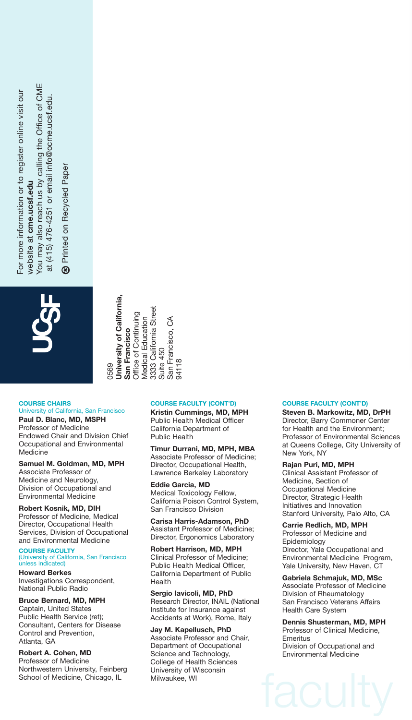-or more information or to register online visit our For more information or to register online visit our website at cme.ucsf.edu website at **cme.ucsf.edu**

You may also reach us by calling the Office of CME You may also reach us by calling the Office of CME at (415) 476-4251 or email info@ocme.ucsf.edu. at (415) 476-4251 or email info@ocme.ucsf.edu.

**19 Printed on Recycled Paper** Printed on Recycled Paper  $\circledast$ 



**Jniversity of California. california,** 3333 California Street 3333 California Street Office of Continuing Office of Continuing San Francisco, CA **Medical Education**  $\mathcal{E}$ Medical Education San Francisco San Francisco. **San Francisco University of**  Suite 450 Suite 450 94118 0569

## **cOUrSE cHAirS**

## University of California, San Francisco

**Paul D. Blanc, MD, MSPH** Professor of Medicine Endowed Chair and Division Chief Occupational and Environmental Medicine

### **Samuel M. Goldman, MD, MPH**

Associate Professor of Medicine and Neurology, Division of Occupational and Environmental Medicine

#### **robert Kosnik, MD, DiH**

Professor of Medicine, Medical Director, Occupational Health Services, Division of Occupational and Environmental Medicine

# **cOUrSE FAcULtY** (University of California, San Francisco unless indicated)

**Howard Berkes** Investigations Correspondent, National Public Radio

#### **Bruce Bernard, MD, MPH**

Captain, United States Public Health Service (ret); Consultant, Centers for Disease Control and Prevention, Atlanta, GA

**robert A. cohen, MD** Professor of Medicine Northwestern University, Feinberg School of Medicine, Chicago, IL

### **cOUrSE FAcULtY (cOnt'D)**

**Kristin cummings, MD, MPH** Public Health Medical Officer California Department of Public Health

**timur Durrani, MD, MPH, MBA** Associate Professor of Medicine; Director, Occupational Health, Lawrence Berkeley Laboratory

**Eddie Garcia, MD** Medical Toxicology Fellow, California Poison Control System, San Francisco Division

**carisa Harris-Adamson, PhD** Assistant Professor of Medicine; Director, Ergonomics Laboratory

**robert Harrison, MD, MPH** Clinical Professor of Medicine; Public Health Medical Officer, California Department of Public Health

**Sergio iavicoli, MD, PhD** Research Director, INAIL (National Institute for Insurance against Accidents at Work), Rome, Italy

**Jay M. Kapellusch, PhD** Associate Professor and Chair, Department of Occupational Science and Technology, College of Health Sciences University of Wisconsin Milwaukee, WI

#### **cOUrSE FAcULtY (cOnt'D)**

**Steven B. Markowitz, MD, DrPH** Director, Barry Commoner Center for Health and the Environment; Professor of Environmental Sciences at Queens College, City University of New York, NY

#### **rajan Puri, MD, MPH**

Clinical Assistant Professor of Medicine, Section of Occupational Medicine Director, Strategic Health Initiatives and Innovation Stanford University, Palo Alto, CA

**Carrie Redlich, MD, MPH** 

Professor of Medicine and Epidemiology Director, Yale Occupational and Environmental Medicine Program, Yale University, New Haven, CT

### **Gabriela Schmajuk, MD, MSc**

Associate Professor of Medicine Division of Rheumatology San Francisco Veterans Affairs Health Care System

**Dennis Shusterman, MD, MPH** Professor of Clinical Medicine, **Emeritus** Division of Occupational and Environmental Medicine